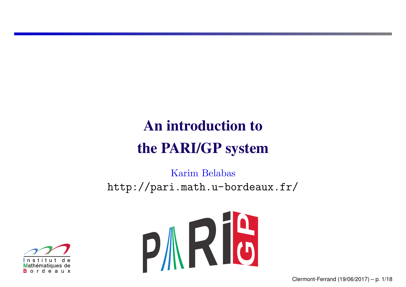# An introduction to the PARI/GP system

Karim Belabas http://pari.math.u-bordeaux.fr/



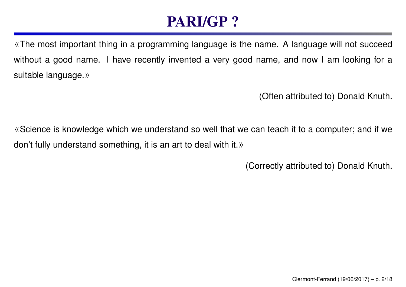## PARI/GP ?

«The most important thing in <sup>a</sup> programming language is the name. A language will not succeed without a good name. I have recently invented a very good name, and now I am looking for a suitable language.»

(Often attributed to) Donald Knuth.

«Science is knowledge which we understand so well that we can teach it to <sup>a</sup> computer; and if we don't fully understand something, it is an art to deal with it.»

(Correctly attributed to) Donald Knuth.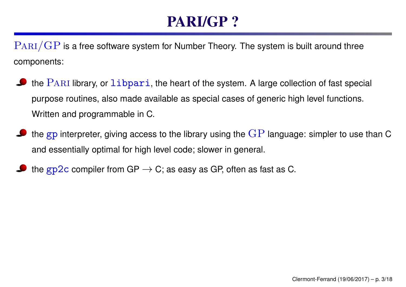# PARI/GP ?

 $\text{PARI}/\text{GP}$  is a free software system for Number Theory. The system is built around three components:

- the  $\text{PARI}$  library, or  $\text{libpari}$ , the heart of the system. A large collection of fast special purpose routines, also made available as special cases of generic high level functions. Written and programmable in C.
- the gp interpreter, giving access to the library using the  $GP$  language: simpler to use than C and essentially optimal for high level code; slower in general.
- the gp2c compiler from GP  $\rightarrow$  C; as easy as GP, often as fast as C.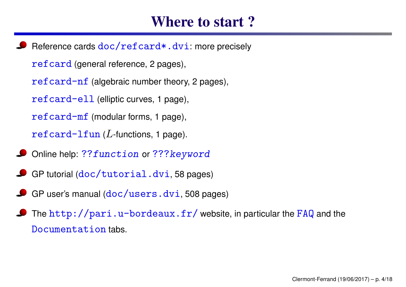#### Where to start ?

Reference cards  $doc/refcard*.dvi:$  more precisely refcard (general reference, 2 pages), refcard-nf (algebraic number theory, 2 pages), refcard-ell (elliptic curves, 1 page), refcard-mf (modular forms, 1 page), refcard-lfun (*L*-functions, <sup>1</sup> page).

- Online help: ??function or ??? keyword
- GP tutorial (doc/tutorial.dvi, <sup>58</sup> pages)
- GP user's manual (doc/users.dvi, 508 pages)
- The  $http://pari.u-bordeaux.fr/ website$ , in particular the FAQ and the Documentation tabs.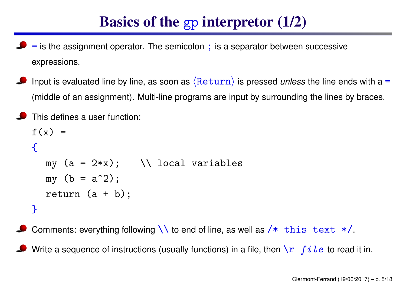### Basics of the gp interpretor (1/2)

- <sup>=</sup> is the assignment operator. The semicolon ; is <sup>a</sup> separator between successive expressions.
- Input is evaluated line by line, as soon as  $\langle$ Return $\rangle$  is pressed *unless* the line ends with a = (middle of an assignment). Multi-line programs are input by surrounding the lines by braces.

```
This defines a user function:
f(x) ={
  my (a = 2*x); \\ local variables
  my (b = a^2);
  return (a + b);
}
```
Comments: everything following  $\setminus \setminus$  to end of line, as well as  $/*$  this text  $*/$ .

Write a sequence of instructions (usually functions) in a file, then  $\sum f_i$   $i \, i$  to read it in.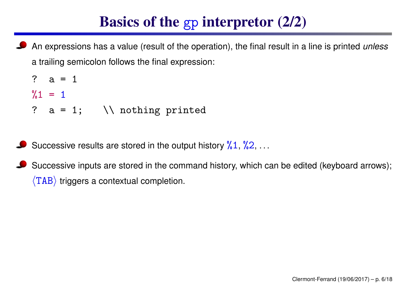### Basics of the gp interpretor (2/2)

An expressions has <sup>a</sup> value (result of the operation), the final result in <sup>a</sup> line is printed *unless* <sup>a</sup> trailing semicolon follows the final expression:

```
? a = 1
\frac{9}{1} = 1? a = 1; \setminus \setminus nothing printed
```
- Successive results are stored in the output history  $\frac{9}{6}1, \frac{9}{6}2, \ldots$
- Successive inputs are stored in the command history, which can be edited (keyboard arrows);  $\langle$ TAB $\rangle$  triggers a contextual completion.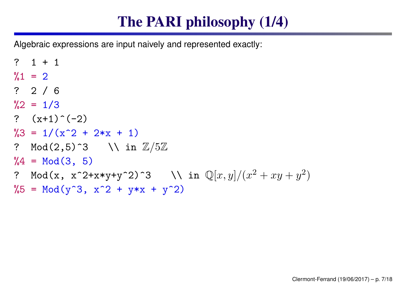# The PARI philosophy (1/4)

Algebraic expressions are input naively and represented exactly:

```
? 1 + 1
%1 = 2? 2 / 6
\frac{9}{2} = 1/3
? (x+1) \hat{(-2)}\frac{9}{3} = \frac{1}{x^2 + 2*x + 1}? Mod(2,5)^3 \\ in
Z
/
5
Z
\%4 = Mod(3, 5)? Mod(x, x^2+x*y+y^2)^3 \qquad \\ in \mathbb{Q}[x,y]/(x^2+xy+y^2)^{\displaystyle 2})\%5 = Mod(y^3, x^2 + y*x + y^2)
```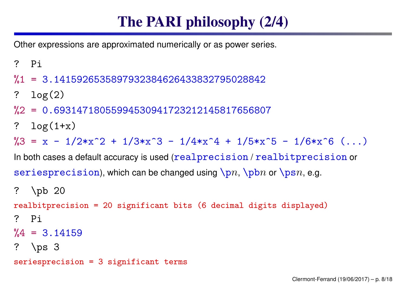# The PARI philosophy (2/4)

Other expressions are approximated numerically or as power series.

- ? Pi
- %1 = 3.1415926535897932384626433832795028842
- ? log(2)
- %2 = 0.69314718055994530941723212145817656807
- ?  $log(1+x)$

 $\%3 = x - 1/2*x^2 + 1/3*x^3 - 1/4*x^4 + 1/5*x^5 - 1/6*x^6$  (...)

In both cases a default accuracy is used ( ${\tt realprecision}$  /  ${\tt realbitprecision}$  or  $\texttt{seriesprecision}$  , which can be changed using  $\setminus {\tt pn}, \: \setminus {\tt psn}, \: {\tt e.g.}$ 

```
? \pb 20
realbitprecision = 20 significant bits (6 decimal digits displayed)
? Pi
\%4 = 3.14159? \ps 3
seriesprecision = 3 significant terms
```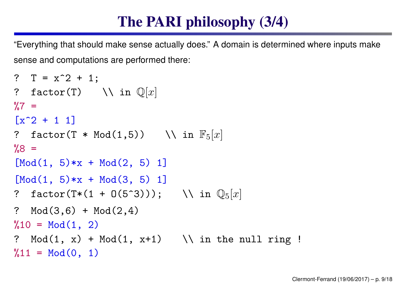# The PARI philosophy (3/4)

"Everything that should make sense actually does." A domain is determined where inputs make sense and computations are performed there:

```
? T = x^2 + 1;
? factor(T) \quad \setminus \setminus \text{ in } \mathbb{Q}[x]\frac{9}{6}7 =\lceil x^2 + 1 \rceil? factor(T * Mod(1,5)) \quad \\ in \mathbb{F}_5[x]\%8 =[Mod(1, 5)*x + Mod(2, 5) 1][Mod(1, 5)*x + Mod(3, 5) 1]? factor(T*(1 + O(5^3))); \\ in
Q
5[x]
? Mod(3,6) + Mod(2,4)%10 = Mod(1, 2)? Mod(1, x) + Mod(1, x+1) \setminus \ in the null ring !
\sqrt[6]{11} = Mod(0, 1)
```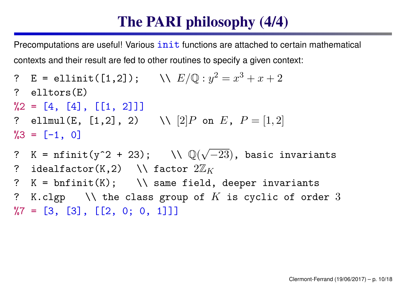### The PARI philosophy (4/4)

Precomputations are useful! Various  $init$  functions are attached to certain mathematical contexts and their result are fed to other routines to specify <sup>a</sup> given context:

- ? <sup>E</sup> = ellinit([1,2]); \\ *E/* Q : *<sup>y</sup>* 2 = *x* 3 + *<sup>x</sup>* + 2 ? elltors(E)  $\sqrt[6]{2} = [4, [4], [1, 2]]$ ? ellmul(E, [1,2], 2)  $\qquad \setminus \ \ [2]P$  on  $E$ ,  $P=[1,2]$  $\%3 = [-1, 0]$
- ? K =  $\texttt{nfinit}(y^2 + 23)$ ;  $\qquad \setminus \mathbb{Q}(\sqrt{-23})$ , basic invariants ?  $\,$  <code>idealfactor(K,2)  $\,$  <code>\\ factor  $2\mathbb{Z}_K$ </code></code>
- ?  $K = \text{bnfinite}(K)$ ;  $\setminus \setminus$  same field, deeper invariants
- ? K. $cl$ gp  $\quad$  \\ the class group of  $K$  is cyclic of order  $3$  $\%7 = [3, [3], [2, 0; 0, 1]]$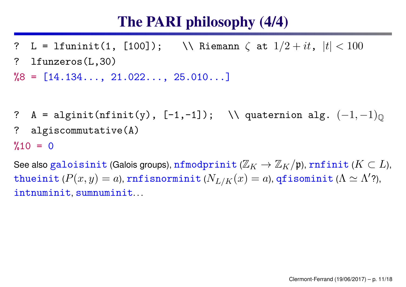#### The PARI philosophy (4/4)

? L = lfuninit(1, [100]); \\ Riemann *ζ* at 1 */*<sup>2</sup> <sup>+</sup> *it*, |*t*| *<sup>&</sup>lt;* <sup>100</sup> ? lfunzeros(L,30)

 $\%8 = [14.134..., 21.022..., 25.010...]$ 

? A = alginit(nfinit(y), [-1,-1]); \\ quaternion alg.  $(-1,-1)_\mathbb{Q}$ ? algiscommutative(A)

 $%10 = 0$ 

See also galoisinit (Galois groups), nfmodprinit ( $\mathbb{Z}_K \to \mathbb{Z}_K/\mathfrak{p}$ ), rnfinit ( $K\subset L$ ),  ${\tt thueinit}$  ( $P(x,y)=a$ ),  ${\tt rnfisnorminit}$  ( $N_{L/K}(x)=a$ ),  ${\tt qfisominit}$  ( $\Lambda \simeq \Lambda'$ ?), intnuminit, sumnuminit. . .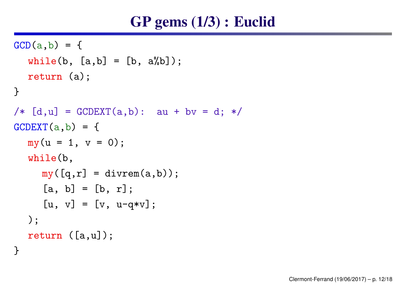#### GP gems (1/3) : Euclid

```
GCD(a, b) = \{while(b, [a,b] = [b, a%b]);
  return (a);
}
/* [d, u] = GCDEXT(a, b): au + by = d; */
GCDEXT
(
a,b) = {
  my(u = 1, v = 0);while(b,
     my([q,r] = \text{divrem}(a,b));[a, b] = [b, r];[u, v] = [v, u-q*v];
  );
  return ([a,u]);
}
```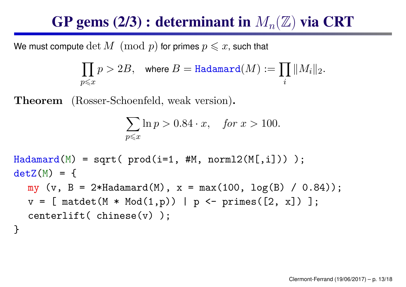#### **GP gems (2/3) : determinant in**  $M_n(\mathbb{Z})$  **via CRT**

We must compute  $\det \overline{M} \pmod{p}$  for primes  $p \leqslant x,$  such that

$$
\prod_{p\leqslant x}p>2B, \quad \text{where } B=\texttt{Hadamard}(M):=\prod_i \|M_i\|_2.
$$

Theorem (Rosser-Schoenfeld, weak version).

$$
\sum_{p \leqslant x} \ln p > 0.84 \cdot x, \quad \text{for } x > 100.
$$

```
Hadamard
(
M) = sqrt( prod(i=1, #M, norml2(M[,i])) );
detZ
(
M) = {
  my (v, B = 2*Hadamard(M), x = max(100, log(B) / 0.84));v = [ matdet(M * Mod(1,p)) | p <- primes([2, x]) ];
  centerlift( chinese(v) );
}
```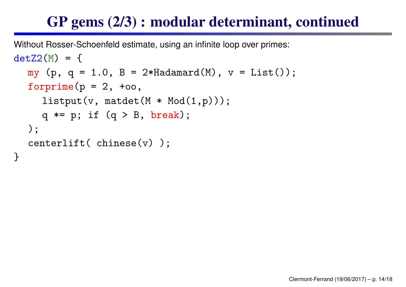## GP gems (2/3) : modular determinant, continued

```
Without Rosser-Schoenfeld estimate, using an infinite loop over primes:
detZ2
(
M) = {
  my (p, q = 1.0, B = 2*Hadamard(M), v = List());
  forprime(p = 2, +\infty),
     listput(v, matdet(M * Mod(1,p)));
     q *= p; if (q > B, break);
  );
  centerlift( chinese(v) );
```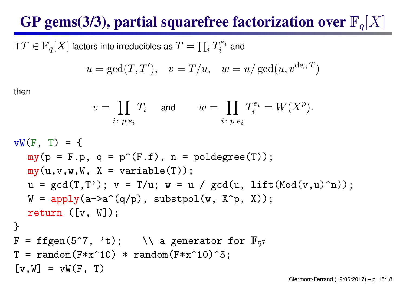# GP gems(3/3), partial squarefree factorization over  $\mathbb{F}_q[X]$

If  $T\in\mathbb{F}_q[X]$  factors into irreducibles as  $T=\prod_i T_i^{e_i}$  and

$$
u = \gcd(T, T'), \quad v = T/u, \quad w = u/\gcd(u, v^{\deg T})
$$

then

$$
v = \prod_{i \colon p \nmid e_i} T_i \quad \text{ and } \qquad w = \prod_{i \colon p \mid e_i} T_i^{e_i} = W(X^p).
$$

$$
vW(F, T) = \{ \nmy(p = F.p, q = p^{(F,f)}, n = p^{(F,f)}); \nmy(u,v,w,w,x = variable(T));
$$
\n
$$
u = gcd(T,T'); v = T/u; w = u / gcd(u, lift(Mod(v,u)^n));
$$
\n
$$
W = apply(a->a^{(q/p)}, substopl(w, X^{p}, X));
$$
\n
$$
F = tfgen(5^{7}, 't); \n\lambda = generator for F_{57}
$$
\n
$$
T = random(F*x^{10} * random(F*x^{10})^{5};
$$
\n
$$
[v, W] = vW(F, T)
$$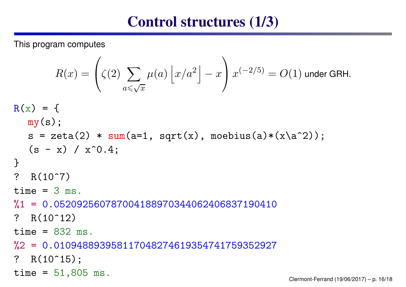#### Control structures (1/3)

This program computes

$$
R(x) = \left(\zeta(2) \sum_{a \leqslant \sqrt{x}} \mu(a) \left\lfloor x/a^2 \right\rfloor - x\right) x^{(-2/5)} = O(1)
$$
 under GRH.

```
R(x) = \{my(s);
  s = zeta(2) * sum(a=1, sqrt(x), moebius(a)*(x'a^2));(s - x) / x^0.4;}
? R(10^{\circ}7)time = 3 ms.%1 = 0.052092560787004188970344062406837190410
? R(10^12)time = 832 ms.
%2 = 0.010948893958117048274619354741759352927
? R(10^15);
time = 51,805 ms.<br>Clermont-Ferrand (19/06/2017) – p. 16/18
```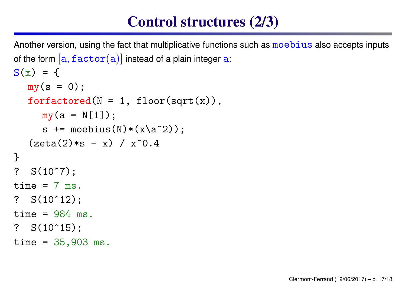### Control structures (2/3)

```
Another version, using the fact that multiplicative functions such as moebius also accepts inputs
of the form [\mathtt{a},\mathtt{factor}(\mathtt{a})] instead of a plain integer \mathtt{a}:
S(x) = \{my(s = 0);for factored(N = 1, floor(sqrt(x)),my(a = N[1]);s += moebius(N)*(x\a^2));
   (zeta(2)*s - x) / x^0.4}
? S(10^{\circ}7);time = 7 ms.? S(10^12);
time = 984 ms.
? S(10^15);
time = 35,903 ms.
```